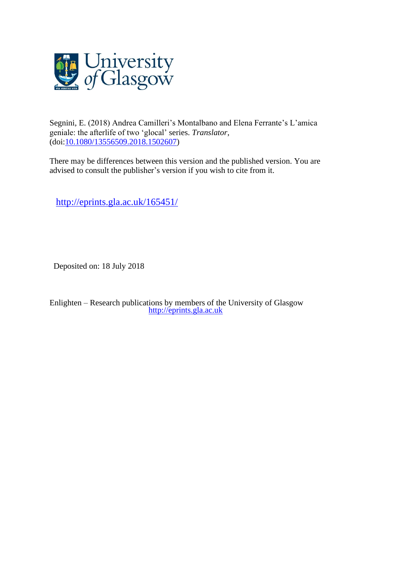

Segnini, E. (2018) Andrea Camilleri's Montalbano and Elena Ferrante's L'amica geniale: the afterlife of two 'glocal' series. *Translator*, (doi[:10.1080/13556509.2018.1502607\)](http://dx.doi.org/10.1080/13556509.2018.1502607)

There may be differences between this version and the published version. You are advised to consult the publisher's version if you wish to cite from it.

<http://eprints.gla.ac.uk/165451/>

Deposited on: 18 July 2018

Enlighten – Research publications by members of the University of Glasgow [http://eprints.gla.ac.uk](http://eprints.gla.ac.uk/)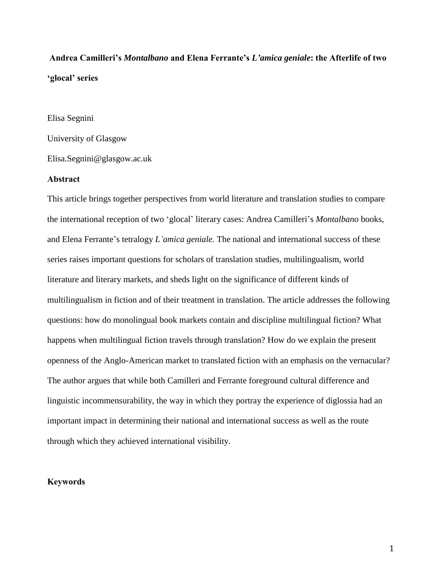# **Andrea Camilleri's** *Montalbano* **and Elena Ferrante's** *L'amica geniale***: the Afterlife of two 'glocal' series**

#### Elisa Segnini

University of Glasgow

Elisa.Segnini@glasgow.ac.uk

# **Abstract**

This article brings together perspectives from world literature and translation studies to compare the international reception of two 'glocal' literary cases: Andrea Camilleri's *Montalbano* books, and Elena Ferrante's tetralogy *L'amica geniale.* The national and international success of these series raises important questions for scholars of translation studies, multilingualism, world literature and literary markets, and sheds light on the significance of different kinds of multilingualism in fiction and of their treatment in translation. The article addresses the following questions: how do monolingual book markets contain and discipline multilingual fiction? What happens when multilingual fiction travels through translation? How do we explain the present openness of the Anglo-American market to translated fiction with an emphasis on the vernacular? The author argues that while both Camilleri and Ferrante foreground cultural difference and linguistic incommensurability, the way in which they portray the experience of diglossia had an important impact in determining their national and international success as well as the route through which they achieved international visibility.

#### **Keywords**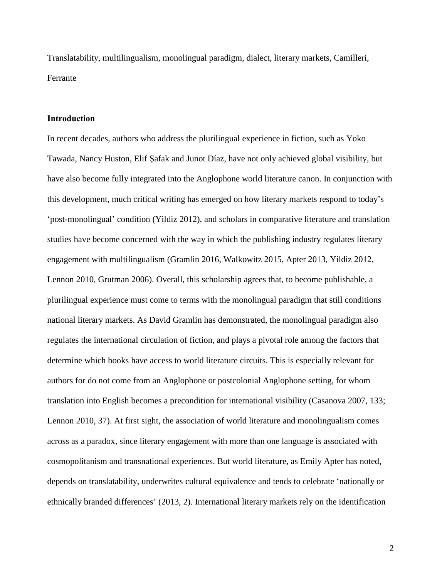Translatability, multilingualism, monolingual paradigm, dialect, literary markets, Camilleri, Ferrante

#### **Introduction**

In recent decades, authors who address the plurilingual experience in fiction, such as Yoko Tawada, Nancy Huston, Elif Şafak and Junot Díaz, have not only achieved global visibility, but have also become fully integrated into the Anglophone world literature canon. In conjunction with this development, much critical writing has emerged on how literary markets respond to today's 'post-monolingual' condition (Yildiz 2012), and scholars in comparative literature and translation studies have become concerned with the way in which the publishing industry regulates literary engagement with multilingualism (Gramlin 2016, Walkowitz 2015, Apter 2013, Yildiz 2012, Lennon 2010, Grutman 2006). Overall, this scholarship agrees that, to become publishable, a plurilingual experience must come to terms with the monolingual paradigm that still conditions national literary markets. As David Gramlin has demonstrated, the monolingual paradigm also regulates the international circulation of fiction, and plays a pivotal role among the factors that determine which books have access to world literature circuits. This is especially relevant for authors for do not come from an Anglophone or postcolonial Anglophone setting, for whom translation into English becomes a precondition for international visibility (Casanova 2007, 133; Lennon 2010, 37). At first sight, the association of world literature and monolingualism comes across as a paradox, since literary engagement with more than one language is associated with cosmopolitanism and transnational experiences. But world literature, as Emily Apter has noted, depends on translatability, underwrites cultural equivalence and tends to celebrate 'nationally or ethnically branded differences' (2013, 2). International literary markets rely on the identification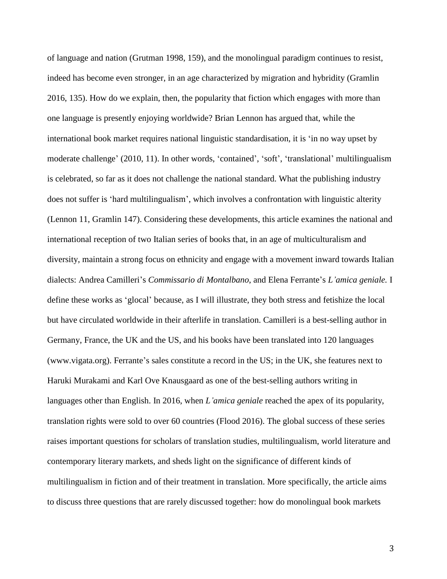of language and nation (Grutman 1998, 159), and the monolingual paradigm continues to resist, indeed has become even stronger, in an age characterized by migration and hybridity (Gramlin 2016, 135). How do we explain, then, the popularity that fiction which engages with more than one language is presently enjoying worldwide? Brian Lennon has argued that, while the international book market requires national linguistic standardisation, it is 'in no way upset by moderate challenge' (2010, 11). In other words, 'contained', 'soft', 'translational' multilingualism is celebrated, so far as it does not challenge the national standard. What the publishing industry does not suffer is 'hard multilingualism', which involves a confrontation with linguistic alterity (Lennon 11, Gramlin 147). Considering these developments, this article examines the national and international reception of two Italian series of books that, in an age of multiculturalism and diversity, maintain a strong focus on ethnicity and engage with a movement inward towards Italian dialects: Andrea Camilleri's *Commissario di Montalbano*, and Elena Ferrante's *L'amica geniale.* I define these works as 'glocal' because, as I will illustrate, they both stress and fetishize the local but have circulated worldwide in their afterlife in translation. Camilleri is a best-selling author in Germany, France, the UK and the US, and his books have been translated into 120 languages (www.vigata.org). Ferrante's sales constitute a record in the US; in the UK, she features next to Haruki Murakami and Karl Ove Knausgaard as one of the best-selling authors writing in languages other than English. In 2016, when *L'amica geniale* reached the apex of its popularity, translation rights were sold to over 60 countries (Flood 2016). The global success of these series raises important questions for scholars of translation studies, multilingualism, world literature and contemporary literary markets, and sheds light on the significance of different kinds of multilingualism in fiction and of their treatment in translation. More specifically, the article aims to discuss three questions that are rarely discussed together: how do monolingual book markets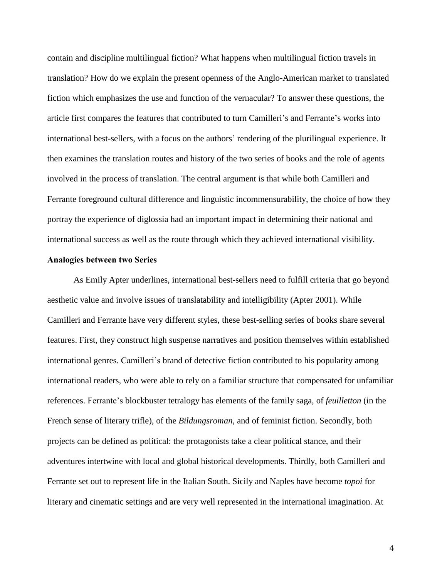contain and discipline multilingual fiction? What happens when multilingual fiction travels in translation? How do we explain the present openness of the Anglo-American market to translated fiction which emphasizes the use and function of the vernacular? To answer these questions, the article first compares the features that contributed to turn Camilleri's and Ferrante's works into international best-sellers, with a focus on the authors' rendering of the plurilingual experience. It then examines the translation routes and history of the two series of books and the role of agents involved in the process of translation. The central argument is that while both Camilleri and Ferrante foreground cultural difference and linguistic incommensurability, the choice of how they portray the experience of diglossia had an important impact in determining their national and international success as well as the route through which they achieved international visibility.

#### **Analogies between two Series**

As Emily Apter underlines, international best-sellers need to fulfill criteria that go beyond aesthetic value and involve issues of translatability and intelligibility (Apter 2001). While Camilleri and Ferrante have very different styles, these best-selling series of books share several features. First, they construct high suspense narratives and position themselves within established international genres. Camilleri's brand of detective fiction contributed to his popularity among international readers, who were able to rely on a familiar structure that compensated for unfamiliar references. Ferrante's blockbuster tetralogy has elements of the family saga, of *feuilletton* (in the French sense of literary trifle), of the *Bildungsroman*, and of feminist fiction. Secondly, both projects can be defined as political: the protagonists take a clear political stance, and their adventures intertwine with local and global historical developments. Thirdly, both Camilleri and Ferrante set out to represent life in the Italian South. Sicily and Naples have become *topoi* for literary and cinematic settings and are very well represented in the international imagination. At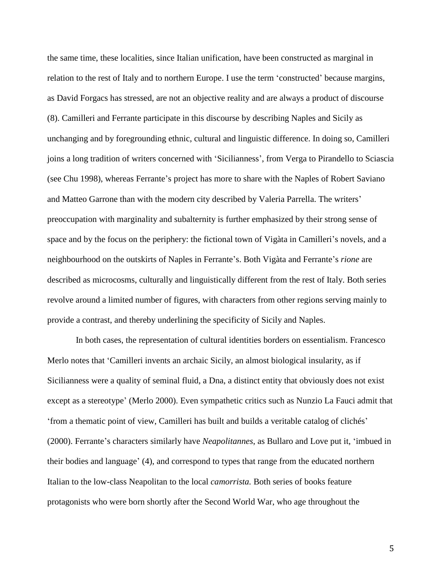the same time, these localities, since Italian unification, have been constructed as marginal in relation to the rest of Italy and to northern Europe. I use the term 'constructed' because margins, as David Forgacs has stressed, are not an objective reality and are always a product of discourse (8). Camilleri and Ferrante participate in this discourse by describing Naples and Sicily as unchanging and by foregrounding ethnic, cultural and linguistic difference. In doing so, Camilleri joins a long tradition of writers concerned with 'Sicilianness', from Verga to Pirandello to Sciascia (see Chu 1998), whereas Ferrante's project has more to share with the Naples of Robert Saviano and Matteo Garrone than with the modern city described by Valeria Parrella. The writers' preoccupation with marginality and subalternity is further emphasized by their strong sense of space and by the focus on the periphery: the fictional town of Vigàta in Camilleri's novels, and a neighbourhood on the outskirts of Naples in Ferrante's. Both Vigàta and Ferrante's *rione* are described as microcosms, culturally and linguistically different from the rest of Italy. Both series revolve around a limited number of figures, with characters from other regions serving mainly to provide a contrast, and thereby underlining the specificity of Sicily and Naples.

In both cases, the representation of cultural identities borders on essentialism. Francesco Merlo notes that 'Camilleri invents an archaic Sicily, an almost biological insularity, as if Sicilianness were a quality of seminal fluid, a Dna, a distinct entity that obviously does not exist except as a stereotype' (Merlo 2000). Even sympathetic critics such as Nunzio La Fauci admit that 'from a thematic point of view, Camilleri has built and builds a veritable catalog of clichés' (2000). Ferrante's characters similarly have *Neapolitannes*, as Bullaro and Love put it, 'imbued in their bodies and language' (4), and correspond to types that range from the educated northern Italian to the low-class Neapolitan to the local *camorrista.* Both series of books feature protagonists who were born shortly after the Second World War, who age throughout the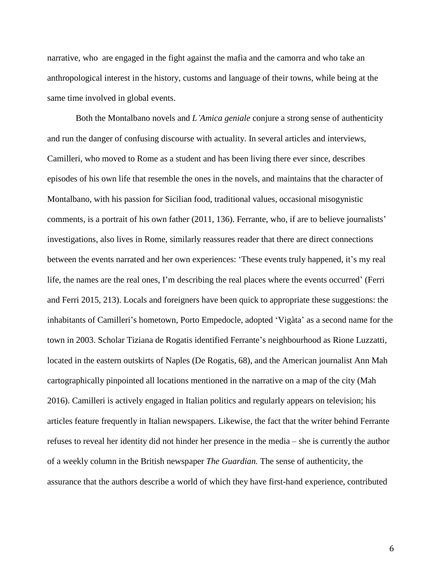narrative, who are engaged in the fight against the mafia and the camorra and who take an anthropological interest in the history, customs and language of their towns, while being at the same time involved in global events.

Both the Montalbano novels and *L'Amica geniale* conjure a strong sense of authenticity and run the danger of confusing discourse with actuality. In several articles and interviews, Camilleri, who moved to Rome as a student and has been living there ever since, describes episodes of his own life that resemble the ones in the novels, and maintains that the character of Montalbano, with his passion for Sicilian food, traditional values, occasional misogynistic comments, is a portrait of his own father (2011, 136). Ferrante, who, if are to believe journalists' investigations, also lives in Rome, similarly reassures reader that there are direct connections between the events narrated and her own experiences: 'These events truly happened, it's my real life, the names are the real ones, I'm describing the real places where the events occurred' (Ferri and Ferri 2015, 213). Locals and foreigners have been quick to appropriate these suggestions: the inhabitants of Camilleri's hometown, Porto Empedocle, adopted 'Vigàta' as a second name for the town in 2003. Scholar Tiziana de Rogatis identified Ferrante's neighbourhood as Rione Luzzatti, located in the eastern outskirts of Naples (De Rogatis, 68), and the American journalist Ann Mah cartographically pinpointed all locations mentioned in the narrative on a map of the city (Mah 2016). Camilleri is actively engaged in Italian politics and regularly appears on television; his articles feature frequently in Italian newspapers. Likewise, the fact that the writer behind Ferrante refuses to reveal her identity did not hinder her presence in the media – she is currently the author of a weekly column in the British newspaper *The Guardian.* The sense of authenticity, the assurance that the authors describe a world of which they have first-hand experience, contributed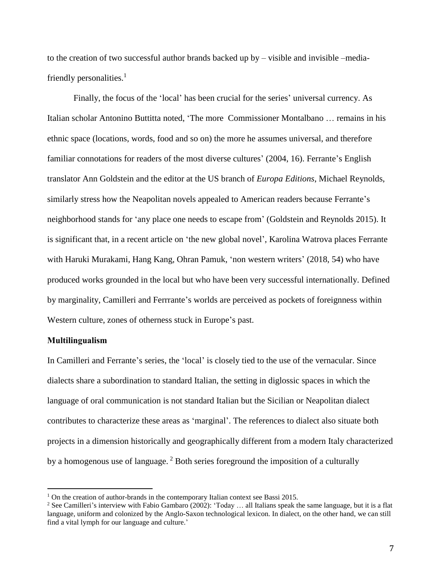to the creation of two successful author brands backed up by – visible and invisible –mediafriendly personalities. $<sup>1</sup>$ </sup>

Finally, the focus of the 'local' has been crucial for the series' universal currency. As Italian scholar Antonino Buttitta noted, 'The more Commissioner Montalbano … remains in his ethnic space (locations, words, food and so on) the more he assumes universal, and therefore familiar connotations for readers of the most diverse cultures' (2004, 16). Ferrante's English translator Ann Goldstein and the editor at the US branch of *Europa Editions*, Michael Reynolds, similarly stress how the Neapolitan novels appealed to American readers because Ferrante's neighborhood stands for 'any place one needs to escape from' (Goldstein and Reynolds 2015). It is significant that, in a recent article on 'the new global novel', Karolina Watrova places Ferrante with Haruki Murakami, Hang Kang, Ohran Pamuk, 'non western writers' (2018, 54) who have produced works grounded in the local but who have been very successful internationally. Defined by marginality, Camilleri and Ferrrante's worlds are perceived as pockets of foreignness within Western culture, zones of otherness stuck in Europe's past.

## **Multilingualism**

 $\overline{a}$ 

In Camilleri and Ferrante's series, the 'local' is closely tied to the use of the vernacular. Since dialects share a subordination to standard Italian, the setting in diglossic spaces in which the language of oral communication is not standard Italian but the Sicilian or Neapolitan dialect contributes to characterize these areas as 'marginal'. The references to dialect also situate both projects in a dimension historically and geographically different from a modern Italy characterized by a homogenous use of language. <sup>2</sup> Both series foreground the imposition of a culturally

 $1$  On the creation of author-brands in the contemporary Italian context see Bassi 2015.

<sup>&</sup>lt;sup>2</sup> See Camilleri's interview with Fabio Gambaro (2002): 'Today ... all Italians speak the same language, but it is a flat language, uniform and colonized by the Anglo-Saxon technological lexicon. In dialect, on the other hand, we can still find a vital lymph for our language and culture.'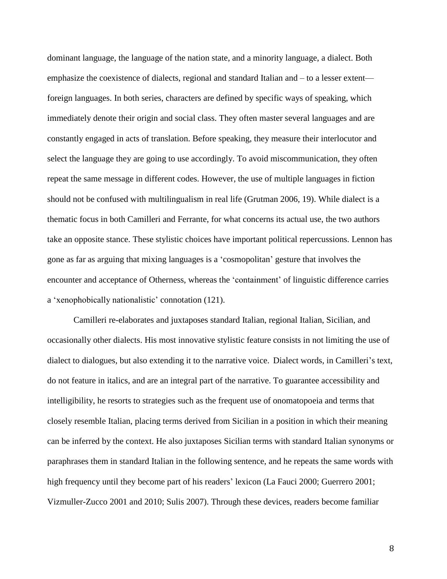dominant language, the language of the nation state, and a minority language, a dialect. Both emphasize the coexistence of dialects, regional and standard Italian and – to a lesser extent foreign languages. In both series, characters are defined by specific ways of speaking, which immediately denote their origin and social class. They often master several languages and are constantly engaged in acts of translation. Before speaking, they measure their interlocutor and select the language they are going to use accordingly. To avoid miscommunication, they often repeat the same message in different codes. However, the use of multiple languages in fiction should not be confused with multilingualism in real life (Grutman 2006, 19). While dialect is a thematic focus in both Camilleri and Ferrante, for what concerns its actual use, the two authors take an opposite stance. These stylistic choices have important political repercussions. Lennon has gone as far as arguing that mixing languages is a 'cosmopolitan' gesture that involves the encounter and acceptance of Otherness, whereas the 'containment' of linguistic difference carries a 'xenophobically nationalistic' connotation (121).

Camilleri re-elaborates and juxtaposes standard Italian, regional Italian, Sicilian, and occasionally other dialects. His most innovative stylistic feature consists in not limiting the use of dialect to dialogues, but also extending it to the narrative voice. Dialect words, in Camilleri's text, do not feature in italics, and are an integral part of the narrative. To guarantee accessibility and intelligibility, he resorts to strategies such as the frequent use of onomatopoeia and terms that closely resemble Italian, placing terms derived from Sicilian in a position in which their meaning can be inferred by the context. He also juxtaposes Sicilian terms with standard Italian synonyms or paraphrases them in standard Italian in the following sentence, and he repeats the same words with high frequency until they become part of his readers' lexicon (La Fauci 2000; Guerrero 2001; Vizmuller-Zucco 2001 and 2010; Sulis 2007). Through these devices, readers become familiar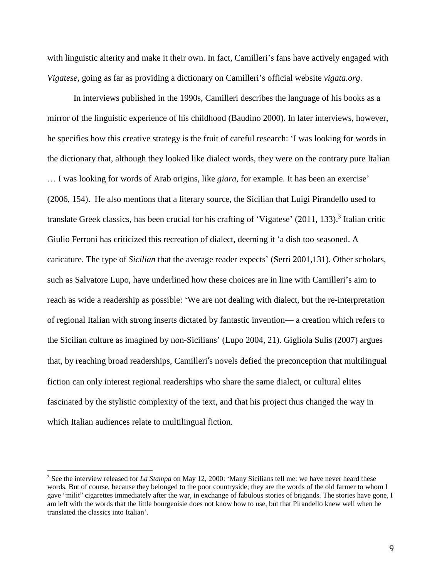with linguistic alterity and make it their own. In fact, Camilleri's fans have actively engaged with *Vigatese,* going as far as providing a dictionary on Camilleri's official website *vigata.org*.

In interviews published in the 1990s, Camilleri describes the language of his books as a mirror of the linguistic experience of his childhood (Baudino 2000). In later interviews, however, he specifies how this creative strategy is the fruit of careful research: 'I was looking for words in the dictionary that, although they looked like dialect words, they were on the contrary pure Italian … I was looking for words of Arab origins, like *giara,* for example. It has been an exercise' (2006, 154). He also mentions that a literary source, the Sicilian that Luigi Pirandello used to translate Greek classics, has been crucial for his crafting of 'Vigatese' (2011, 133).<sup>3</sup> Italian critic Giulio Ferroni has criticized this recreation of dialect, deeming it 'a dish too seasoned. A caricature. The type of *Sicilian* that the average reader expects' (Serri 2001,131). Other scholars, such as Salvatore Lupo, have underlined how these choices are in line with Camilleri's aim to reach as wide a readership as possible: 'We are not dealing with dialect, but the re-interpretation of regional Italian with strong inserts dictated by fantastic invention— a creation which refers to the Sicilian culture as imagined by non-Sicilians' (Lupo 2004*,* 21). Gigliola Sulis (2007) argues that, by reaching broad readerships, Camilleri's novels defied the preconception that multilingual fiction can only interest regional readerships who share the same dialect, or cultural elites fascinated by the stylistic complexity of the text, and that his project thus changed the way in which Italian audiences relate to multilingual fiction.

<sup>3</sup> See the interview released for *La Stampa* on May 12, 2000: 'Many Sicilians tell me: we have never heard these words. But of course, because they belonged to the poor countryside; they are the words of the old farmer to whom I gave "milit" cigarettes immediately after the war, in exchange of fabulous stories of brigands. The stories have gone, I am left with the words that the little bourgeoisie does not know how to use, but that Pirandello knew well when he translated the classics into Italian'.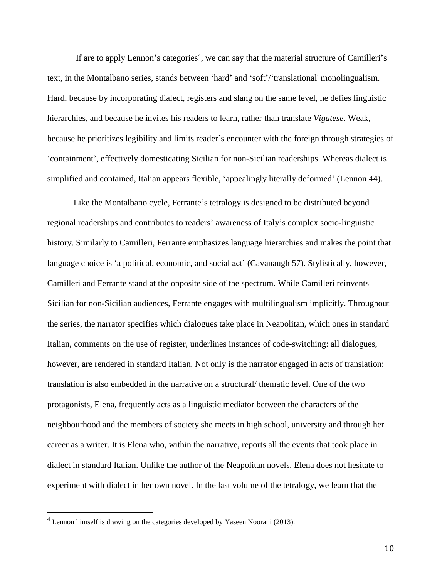If are to apply Lennon's categories<sup>4</sup>, we can say that the material structure of Camilleri's text, in the Montalbano series, stands between 'hard' and 'soft'/'translational' monolingualism. Hard, because by incorporating dialect, registers and slang on the same level, he defies linguistic hierarchies, and because he invites his readers to learn, rather than translate *Vigatese*. Weak, because he prioritizes legibility and limits reader's encounter with the foreign through strategies of 'containment', effectively domesticating Sicilian for non-Sicilian readerships. Whereas dialect is simplified and contained, Italian appears flexible, 'appealingly literally deformed' (Lennon 44).

Like the Montalbano cycle, Ferrante's tetralogy is designed to be distributed beyond regional readerships and contributes to readers' awareness of Italy's complex socio-linguistic history. Similarly to Camilleri, Ferrante emphasizes language hierarchies and makes the point that language choice is 'a political, economic, and social act' (Cavanaugh 57). Stylistically, however, Camilleri and Ferrante stand at the opposite side of the spectrum. While Camilleri reinvents Sicilian for non-Sicilian audiences, Ferrante engages with multilingualism implicitly. Throughout the series, the narrator specifies which dialogues take place in Neapolitan, which ones in standard Italian, comments on the use of register, underlines instances of code-switching: all dialogues, however, are rendered in standard Italian. Not only is the narrator engaged in acts of translation: translation is also embedded in the narrative on a structural/ thematic level. One of the two protagonists, Elena, frequently acts as a linguistic mediator between the characters of the neighbourhood and the members of society she meets in high school, university and through her career as a writer. It is Elena who, within the narrative, reports all the events that took place in dialect in standard Italian. Unlike the author of the Neapolitan novels, Elena does not hesitate to experiment with dialect in her own novel. In the last volume of the tetralogy, we learn that the

 $\overline{a}$ 

 $<sup>4</sup>$  Lennon himself is drawing on the categories developed by Yaseen Noorani (2013).</sup>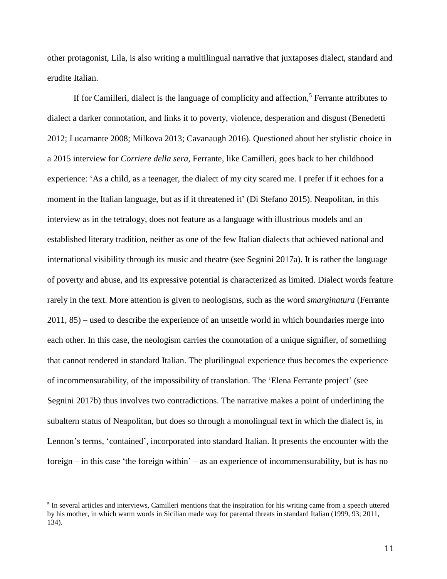other protagonist, Lila, is also writing a multilingual narrative that juxtaposes dialect, standard and erudite Italian.

If for Camilleri, dialect is the language of complicity and affection,<sup>5</sup> Ferrante attributes to dialect a darker connotation, and links it to poverty, violence, desperation and disgust (Benedetti 2012; Lucamante 2008; Milkova 2013; Cavanaugh 2016). Questioned about her stylistic choice in a 2015 interview for *Corriere della sera,* Ferrante, like Camilleri, goes back to her childhood experience: 'As a child, as a teenager, the dialect of my city scared me. I prefer if it echoes for a moment in the Italian language, but as if it threatened it' (Di Stefano 2015). Neapolitan, in this interview as in the tetralogy, does not feature as a language with illustrious models and an established literary tradition, neither as one of the few Italian dialects that achieved national and international visibility through its music and theatre (see Segnini 2017a). It is rather the language of poverty and abuse, and its expressive potential is characterized as limited. Dialect words feature rarely in the text. More attention is given to neologisms, such as the word *smarginatura* (Ferrante 2011, 85) – used to describe the experience of an unsettle world in which boundaries merge into each other. In this case, the neologism carries the connotation of a unique signifier, of something that cannot rendered in standard Italian. The plurilingual experience thus becomes the experience of incommensurability, of the impossibility of translation. The 'Elena Ferrante project' (see Segnini 2017b) thus involves two contradictions. The narrative makes a point of underlining the subaltern status of Neapolitan, but does so through a monolingual text in which the dialect is, in Lennon's terms, 'contained', incorporated into standard Italian. It presents the encounter with the foreign – in this case 'the foreign within' – as an experience of incommensurability, but is has no

<sup>&</sup>lt;sup>5</sup> In several articles and interviews, Camilleri mentions that the inspiration for his writing came from a speech uttered by his mother, in which warm words in Sicilian made way for parental threats in standard Italian (1999, 93; 2011, 134).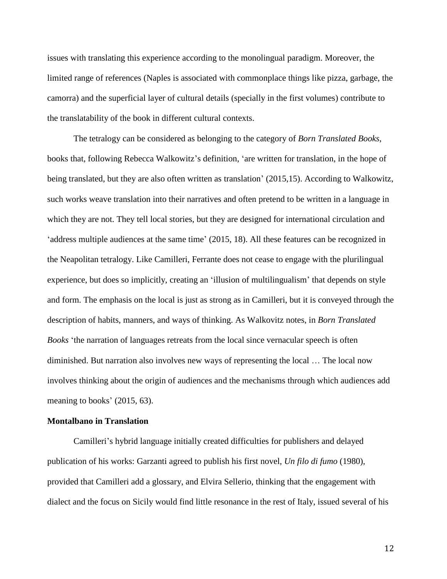issues with translating this experience according to the monolingual paradigm. Moreover, the limited range of references (Naples is associated with commonplace things like pizza, garbage, the camorra) and the superficial layer of cultural details (specially in the first volumes) contribute to the translatability of the book in different cultural contexts.

The tetralogy can be considered as belonging to the category of *Born Translated Books*, books that, following Rebecca Walkowitz's definition, 'are written for translation, in the hope of being translated, but they are also often written as translation' (2015,15). According to Walkowitz, such works weave translation into their narratives and often pretend to be written in a language in which they are not. They tell local stories, but they are designed for international circulation and 'address multiple audiences at the same time' (2015, 18). All these features can be recognized in the Neapolitan tetralogy. Like Camilleri, Ferrante does not cease to engage with the plurilingual experience, but does so implicitly, creating an 'illusion of multilingualism' that depends on style and form. The emphasis on the local is just as strong as in Camilleri, but it is conveyed through the description of habits, manners, and ways of thinking. As Walkovitz notes, in *Born Translated Books* 'the narration of languages retreats from the local since vernacular speech is often diminished. But narration also involves new ways of representing the local … The local now involves thinking about the origin of audiences and the mechanisms through which audiences add meaning to books' (2015, 63).

#### **Montalbano in Translation**

Camilleri's hybrid language initially created difficulties for publishers and delayed publication of his works: Garzanti agreed to publish his first novel, *Un filo di fumo* (1980), provided that Camilleri add a glossary, and Elvira Sellerio, thinking that the engagement with dialect and the focus on Sicily would find little resonance in the rest of Italy, issued several of his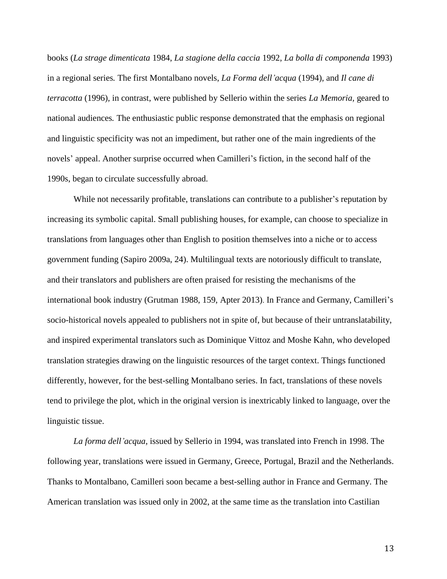books (*La strage dimenticata* 1984, *La stagione della caccia* 1992, *La bolla di componenda* 1993) in a regional series*.* The first Montalbano novels, *La Forma dell'acqua* (1994), and *Il cane di terracotta* (1996)*,* in contrast, were published by Sellerio within the series *La Memoria,* geared to national audiences*.* The enthusiastic public response demonstrated that the emphasis on regional and linguistic specificity was not an impediment, but rather one of the main ingredients of the novels' appeal. Another surprise occurred when Camilleri's fiction, in the second half of the 1990s, began to circulate successfully abroad.

While not necessarily profitable, translations can contribute to a publisher's reputation by increasing its symbolic capital. Small publishing houses, for example, can choose to specialize in translations from languages other than English to position themselves into a niche or to access government funding (Sapiro 2009a, 24). Multilingual texts are notoriously difficult to translate, and their translators and publishers are often praised for resisting the mechanisms of the international book industry (Grutman 1988, 159, Apter 2013). In France and Germany, Camilleri's socio-historical novels appealed to publishers not in spite of, but because of their untranslatability, and inspired experimental translators such as Dominique Vittoz and Moshe Kahn, who developed translation strategies drawing on the linguistic resources of the target context. Things functioned differently, however, for the best-selling Montalbano series. In fact, translations of these novels tend to privilege the plot, which in the original version is inextricably linked to language, over the linguistic tissue.

*La forma dell'acqua,* issued by Sellerio in 1994, was translated into French in 1998. The following year, translations were issued in Germany, Greece, Portugal, Brazil and the Netherlands. Thanks to Montalbano, Camilleri soon became a best-selling author in France and Germany. The American translation was issued only in 2002, at the same time as the translation into Castilian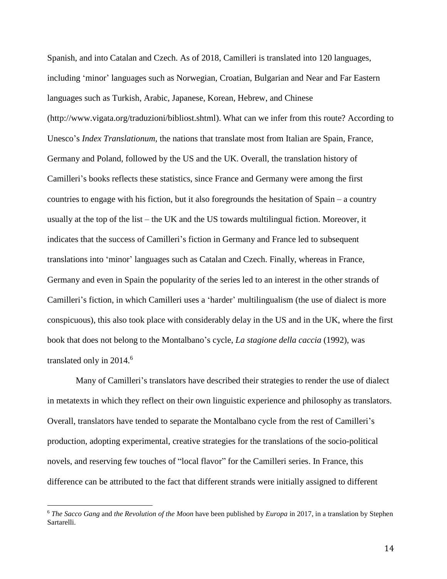Spanish, and into Catalan and Czech. As of 2018, Camilleri is translated into 120 languages, including 'minor' languages such as Norwegian, Croatian, Bulgarian and Near and Far Eastern languages such as Turkish, Arabic, Japanese, Korean, Hebrew, and Chinese [\(http://www.vigata.org/traduzioni/bibliost.shtml\)](http://www.vigata.org/traduzioni/bibliost.shtml). What can we infer from this route? According to Unesco's *Index Translationum,* the nations that translate most from Italian are Spain, France, Germany and Poland, followed by the US and the UK. Overall, the translation history of Camilleri's books reflects these statistics, since France and Germany were among the first countries to engage with his fiction, but it also foregrounds the hesitation of Spain – a country usually at the top of the list – the UK and the US towards multilingual fiction. Moreover, it indicates that the success of Camilleri's fiction in Germany and France led to subsequent translations into 'minor' languages such as Catalan and Czech. Finally, whereas in France, Germany and even in Spain the popularity of the series led to an interest in the other strands of Camilleri's fiction, in which Camilleri uses a 'harder' multilingualism (the use of dialect is more conspicuous), this also took place with considerably delay in the US and in the UK, where the first book that does not belong to the Montalbano's cycle, *La stagione della caccia* (1992), was translated only in 2014.<sup>6</sup>

Many of Camilleri's translators have described their strategies to render the use of dialect in metatexts in which they reflect on their own linguistic experience and philosophy as translators. Overall, translators have tended to separate the Montalbano cycle from the rest of Camilleri's production, adopting experimental, creative strategies for the translations of the socio-political novels, and reserving few touches of "local flavor" for the Camilleri series. In France, this difference can be attributed to the fact that different strands were initially assigned to different

<sup>6</sup> *The Sacco Gang* and *the Revolution of the Moon* have been published by *Europa* in 2017, in a translation by Stephen Sartarelli.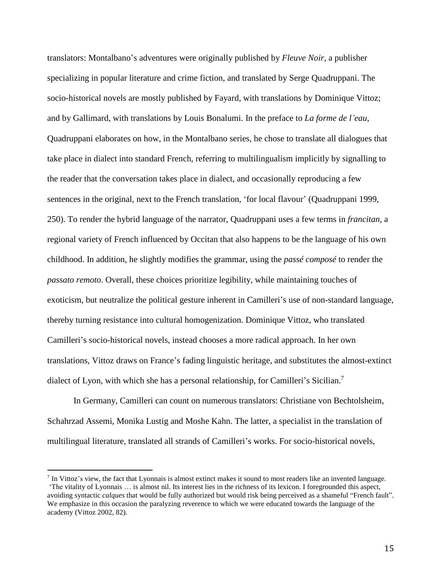translators: Montalbano's adventures were originally published by *Fleuve Noir,* a publisher specializing in popular literature and crime fiction, and translated by Serge Quadruppani. The socio-historical novels are mostly published by Fayard, with translations by Dominique Vittoz; and by Gallimard, with translations by Louis Bonalumi. In the preface to *La forme de l'eau*, Quadruppani elaborates on how, in the Montalbano series, he chose to translate all dialogues that take place in dialect into standard French, referring to multilingualism implicitly by signalling to the reader that the conversation takes place in dialect, and occasionally reproducing a few sentences in the original, next to the French translation, 'for local flavour' (Quadruppani 1999, 250). To render the hybrid language of the narrator, Quadruppani uses a few terms in *francitan,* a regional variety of French influenced by Occitan that also happens to be the language of his own childhood. In addition, he slightly modifies the grammar, using the *passé composé* to render the *passato remoto*. Overall, these choices prioritize legibility, while maintaining touches of exoticism, but neutralize the political gesture inherent in Camilleri's use of non-standard language, thereby turning resistance into cultural homogenization. Dominique Vittoz, who translated Camilleri's socio-historical novels, instead chooses a more radical approach. In her own translations, Vittoz draws on France's fading linguistic heritage, and substitutes the almost-extinct dialect of Lyon, with which she has a personal relationship, for Camilleri's Sicilian.<sup>7</sup>

In Germany, Camilleri can count on numerous translators: Christiane von Bechtolsheim, Schahrzad Assemi, Monika Lustig and Moshe Kahn. The latter, a specialist in the translation of multilingual literature, translated all strands of Camilleri's works. For socio-historical novels,

 $<sup>7</sup>$  In Vittoz's view, the fact that Lyonnais is almost extinct makes it sound to most readers like an invented language.</sup> 'The vitality of Lyonnais … is almost nil. Its interest lies in the richness of its lexicon. I foregrounded this aspect, avoiding syntactic *calques* that would be fully authorized but would risk being perceived as a shameful "French fault". We emphasize in this occasion the paralyzing reverence to which we were educated towards the language of the academy (Vittoz 2002, 82).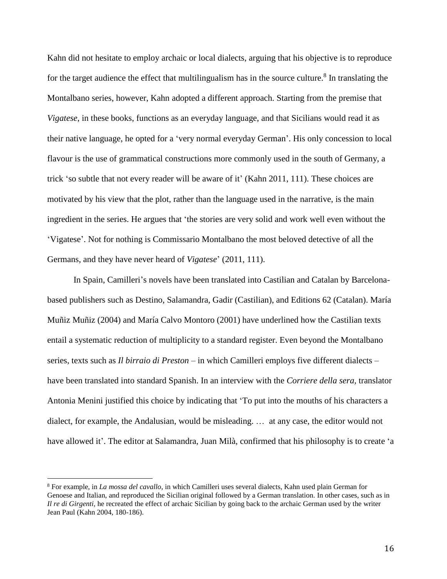Kahn did not hesitate to employ archaic or local dialects, arguing that his objective is to reproduce for the target audience the effect that multilingualism has in the source culture.<sup>8</sup> In translating the Montalbano series, however, Kahn adopted a different approach. Starting from the premise that *Vigatese*, in these books, functions as an everyday language, and that Sicilians would read it as their native language, he opted for a 'very normal everyday German'. His only concession to local flavour is the use of grammatical constructions more commonly used in the south of Germany, a trick 'so subtle that not every reader will be aware of it' (Kahn 2011, 111). These choices are motivated by his view that the plot, rather than the language used in the narrative, is the main ingredient in the series. He argues that 'the stories are very solid and work well even without the 'Vigatese'. Not for nothing is Commissario Montalbano the most beloved detective of all the Germans, and they have never heard of *Vigatese*' (2011, 111).

In Spain, Camilleri's novels have been translated into Castilian and Catalan by Barcelonabased publishers such as Destino, Salamandra, Gadir (Castilian), and Editions 62 (Catalan). María Muñiz Muñiz (2004) and María Calvo Montoro (2001) have underlined how the Castilian texts entail a systematic reduction of multiplicity to a standard register. Even beyond the Montalbano series, texts such as *Il birraio di Preston* – in which Camilleri employs five different dialects – have been translated into standard Spanish. In an interview with the *Corriere della sera,* translator Antonia Menini justified this choice by indicating that 'To put into the mouths of his characters a dialect, for example, the Andalusian, would be misleading. …at any case, the editor would not have allowed it'. The editor at Salamandra, Juan Milà, confirmed that his philosophy is to create 'a

<sup>8</sup> For example, in *La mossa del cavallo*, in which Camilleri uses several dialects, Kahn used plain German for Genoese and Italian, and reproduced the Sicilian original followed by a German translation. In other cases, such as in *Il re di Girgenti*, he recreated the effect of archaic Sicilian by going back to the archaic German used by the writer Jean Paul (Kahn 2004, 180-186).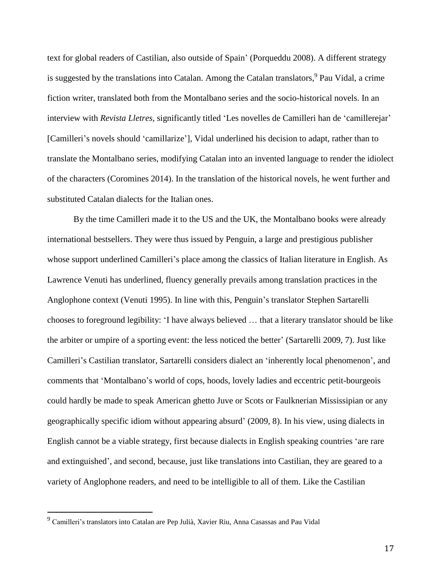text for global readers of Castilian, also outside of Spain' (Porqueddu 2008). A different strategy is suggested by the translations into Catalan. Among the Catalan translators,<sup>9</sup> Pau Vidal, a crime fiction writer, translated both from the Montalbano series and the socio-historical novels. In an interview with *Revista Lletres,* significantly titled 'Les novelles de Camilleri han de 'camillerejar' [Camilleri's novels should 'camillarize'], Vidal underlined his decision to adapt, rather than to translate the Montalbano series, modifying Catalan into an invented language to render the idiolect of the characters (Coromines 2014). In the translation of the historical novels, he went further and substituted Catalan dialects for the Italian ones.

 By the time Camilleri made it to the US and the UK, the Montalbano books were already international bestsellers. They were thus issued by Penguin, a large and prestigious publisher whose support underlined Camilleri's place among the classics of Italian literature in English. As Lawrence Venuti has underlined, fluency generally prevails among translation practices in the Anglophone context (Venuti 1995). In line with this, Penguin's translator Stephen Sartarelli chooses to foreground legibility: 'I have always believed … that a literary translator should be like the arbiter or umpire of a sporting event: the less noticed the better' (Sartarelli 2009, 7). Just like Camilleri's Castilian translator, Sartarelli considers dialect an 'inherently local phenomenon', and comments that 'Montalbano's world of cops, hoods, lovely ladies and eccentric petit-bourgeois could hardly be made to speak American ghetto Juve or Scots or Faulknerian Mississipian or any geographically specific idiom without appearing absurd' (2009, 8). In his view, using dialects in English cannot be a viable strategy, first because dialects in English speaking countries 'are rare and extinguished', and second, because, just like translations into Castilian, they are geared to a variety of Anglophone readers, and need to be intelligible to all of them. Like the Castilian

 $\overline{a}$ 

<sup>&</sup>lt;sup>9</sup> Camilleri's translators into Catalan are Pep Julià, Xavier Riu, Anna Casassas and Pau Vidal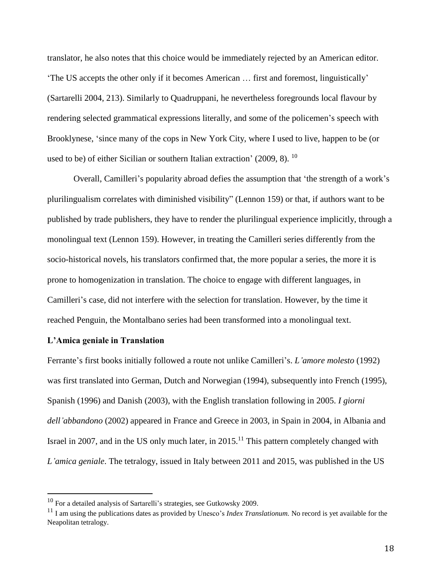translator, he also notes that this choice would be immediately rejected by an American editor. 'The US accepts the other only if it becomes American … first and foremost, linguistically' (Sartarelli 2004, 213). Similarly to Quadruppani, he nevertheless foregrounds local flavour by rendering selected grammatical expressions literally, and some of the policemen's speech with Brooklynese, 'since many of the cops in New York City, where I used to live, happen to be (or used to be) of either Sicilian or southern Italian extraction' (2009, 8). <sup>10</sup>

Overall, Camilleri's popularity abroad defies the assumption that 'the strength of a work's plurilingualism correlates with diminished visibility" (Lennon 159) or that, if authors want to be published by trade publishers, they have to render the plurilingual experience implicitly, through a monolingual text (Lennon 159). However, in treating the Camilleri series differently from the socio-historical novels, his translators confirmed that, the more popular a series, the more it is prone to homogenization in translation. The choice to engage with different languages, in Camilleri's case, did not interfere with the selection for translation. However, by the time it reached Penguin, the Montalbano series had been transformed into a monolingual text.

## **L'Amica geniale in Translation**

 $\overline{a}$ 

Ferrante's first books initially followed a route not unlike Camilleri's. *L'amore molesto* (1992) was first translated into German, Dutch and Norwegian (1994), subsequently into French (1995), Spanish (1996) and Danish (2003), with the English translation following in 2005. *I giorni dell'abbandono* (2002) appeared in France and Greece in 2003, in Spain in 2004, in Albania and Israel in 2007, and in the US only much later, in  $2015$ .<sup>11</sup> This pattern completely changed with *L'amica geniale*. The tetralogy, issued in Italy between 2011 and 2015, was published in the US

<sup>10</sup> For a detailed analysis of Sartarelli's strategies, see Gutkowsky 2009.

<sup>11</sup> I am using the publications dates as provided by Unesco's *Index Translationum.* No record is yet available for the Neapolitan tetralogy.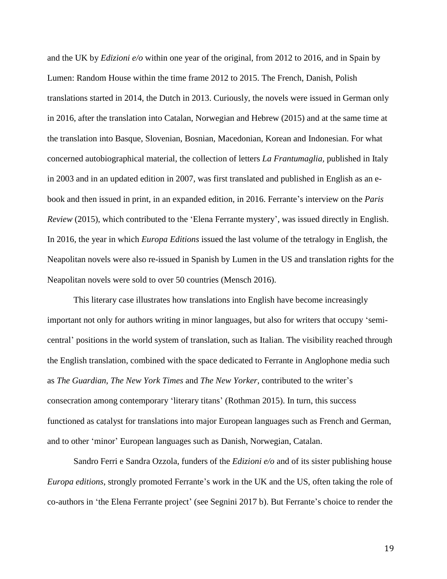and the UK by *Edizioni e/o* within one year of the original, from 2012 to 2016, and in Spain by Lumen: Random House within the time frame 2012 to 2015. The French, Danish, Polish translations started in 2014, the Dutch in 2013. Curiously, the novels were issued in German only in 2016, after the translation into Catalan, Norwegian and Hebrew (2015) and at the same time at the translation into Basque, Slovenian, Bosnian, Macedonian, Korean and Indonesian. For what concerned autobiographical material, the collection of letters *La Frantumaglia,* published in Italy in 2003 and in an updated edition in 2007*,* was first translated and published in English as an ebook and then issued in print, in an expanded edition, in 2016. Ferrante's interview on the *Paris Review* (2015), which contributed to the 'Elena Ferrante mystery', was issued directly in English. In 2016, the year in which *Europa Editions* issued the last volume of the tetralogy in English, the Neapolitan novels were also re-issued in Spanish by Lumen in the US and translation rights for the Neapolitan novels were sold to over 50 countries (Mensch 2016).

This literary case illustrates how translations into English have become increasingly important not only for authors writing in minor languages, but also for writers that occupy 'semicentral' positions in the world system of translation, such as Italian. The visibility reached through the English translation, combined with the space dedicated to Ferrante in Anglophone media such as *The Guardian*, *The New York Times* and *The New Yorker,* contributed to the writer's consecration among contemporary 'literary titans' (Rothman 2015). In turn, this success functioned as catalyst for translations into major European languages such as French and German, and to other 'minor' European languages such as Danish, Norwegian, Catalan.

Sandro Ferri e Sandra Ozzola, funders of the *Edizioni e/o* and of its sister publishing house *Europa editions*, strongly promoted Ferrante's work in the UK and the US, often taking the role of co-authors in 'the Elena Ferrante project' (see Segnini 2017 b). But Ferrante's choice to render the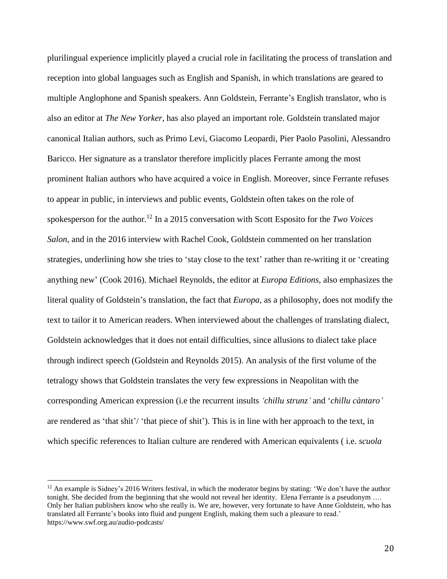plurilingual experience implicitly played a crucial role in facilitating the process of translation and reception into global languages such as English and Spanish, in which translations are geared to multiple Anglophone and Spanish speakers. Ann Goldstein, Ferrante's English translator, who is also an editor at *The New Yorker*, has also played an important role. Goldstein translated major canonical Italian authors, such as Primo Levi, Giacomo Leopardi, Pier Paolo Pasolini, Alessandro Baricco. Her signature as a translator therefore implicitly places Ferrante among the most prominent Italian authors who have acquired a voice in English. Moreover, since Ferrante refuses to appear in public, in interviews and public events, Goldstein often takes on the role of spokesperson for the author.<sup>12</sup> In a 2015 conversation with Scott Esposito for the *Two Voices Salon,* and in the 2016 interview with Rachel Cook, Goldstein commented on her translation strategies, underlining how she tries to 'stay close to the text' rather than re-writing it or 'creating anything new' (Cook 2016). Michael Reynolds, the editor at *Europa Editions*, also emphasizes the literal quality of Goldstein's translation, the fact that *Europa,* as a philosophy, does not modify the text to tailor it to American readers. When interviewed about the challenges of translating dialect, Goldstein acknowledges that it does not entail difficulties, since allusions to dialect take place through indirect speech (Goldstein and Reynolds 2015). An analysis of the first volume of the tetralogy shows that Goldstein translates the very few expressions in Neapolitan with the corresponding American expression (i.e the recurrent insults *'chillu strunz'* and '*chillu càntaro'* are rendered as 'that shit'/ 'that piece of shit'). This is in line with her approach to the text, in which specific references to Italian culture are rendered with American equivalents ( i.e. *scuola*

<sup>&</sup>lt;sup>12</sup> An example is Sidney's 2016 Writers festival, in which the moderator begins by stating: 'We don't have the author tonight. She decided from the beginning that she would not reveal her identity. Elena Ferrante is a pseudonym …. Only her Italian publishers know who she really is. We are, however, very fortunate to have Anne Goldstein, who has translated all Ferrante's books into fluid and pungent English, making them such a pleasure to read.' https://www.swf.org.au/audio-podcasts/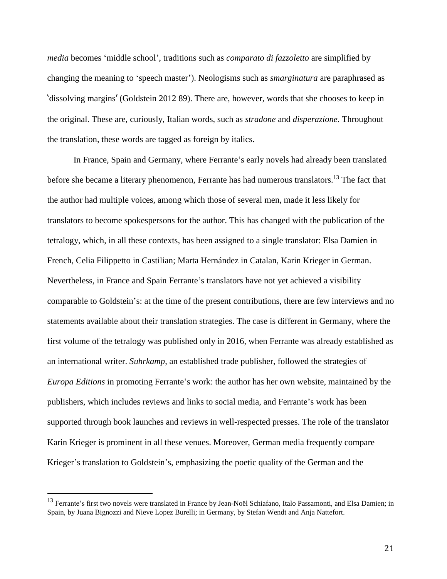*media* becomes 'middle school', traditions such as *comparato di fazzoletto* are simplified by changing the meaning to 'speech master'). Neologisms such as *smarginatura* are paraphrased as 'dissolving margins' (Goldstein 2012 89). There are, however, words that she chooses to keep in the original. These are, curiously, Italian words, such as *stradone* and *disperazione.* Throughout the translation, these words are tagged as foreign by italics.

In France, Spain and Germany, where Ferrante's early novels had already been translated before she became a literary phenomenon, Ferrante has had numerous translators.<sup>13</sup> The fact that the author had multiple voices, among which those of several men, made it less likely for translators to become spokespersons for the author. This has changed with the publication of the tetralogy, which, in all these contexts, has been assigned to a single translator: Elsa Damien in French, Celia Filippetto in Castilian; Marta Hernández in Catalan, Karin Krieger in German. Nevertheless, in France and Spain Ferrante's translators have not yet achieved a visibility comparable to Goldstein's: at the time of the present contributions, there are few interviews and no statements available about their translation strategies. The case is different in Germany, where the first volume of the tetralogy was published only in 2016, when Ferrante was already established as an international writer. *Suhrkamp*, an established trade publisher, followed the strategies of *Europa Editions* in promoting Ferrante's work: the author has her own website, maintained by the publishers, which includes reviews and links to social media, and Ferrante's work has been supported through book launches and reviews in well-respected presses. The role of the translator Karin Krieger is prominent in all these venues. Moreover, German media frequently compare Krieger's translation to Goldstein's, emphasizing the poetic quality of the German and the

<sup>&</sup>lt;sup>13</sup> Ferrante's first two novels were translated in France by Jean-Noël Schiafano, Italo Passamonti, and Elsa Damien; in Spain, by Juana Bignozzi and Nieve Lopez Burelli; in Germany, by Stefan Wendt and Anja Nattefort.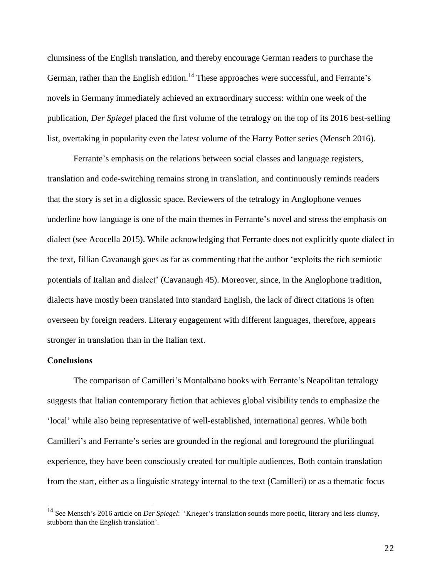clumsiness of the English translation, and thereby encourage German readers to purchase the German, rather than the English edition.<sup>14</sup> These approaches were successful, and Ferrante's novels in Germany immediately achieved an extraordinary success: within one week of the publication, *Der Spiegel* placed the first volume of the tetralogy on the top of its 2016 best-selling list, overtaking in popularity even the latest volume of the Harry Potter series (Mensch 2016).

Ferrante's emphasis on the relations between social classes and language registers, translation and code-switching remains strong in translation, and continuously reminds readers that the story is set in a diglossic space. Reviewers of the tetralogy in Anglophone venues underline how language is one of the main themes in Ferrante's novel and stress the emphasis on dialect (see Acocella 2015). While acknowledging that Ferrante does not explicitly quote dialect in the text, Jillian Cavanaugh goes as far as commenting that the author 'exploits the rich semiotic potentials of Italian and dialect' (Cavanaugh 45). Moreover, since, in the Anglophone tradition, dialects have mostly been translated into standard English, the lack of direct citations is often overseen by foreign readers. Literary engagement with different languages, therefore, appears stronger in translation than in the Italian text.

## **Conclusions**

 $\overline{a}$ 

The comparison of Camilleri's Montalbano books with Ferrante's Neapolitan tetralogy suggests that Italian contemporary fiction that achieves global visibility tends to emphasize the 'local' while also being representative of well-established, international genres. While both Camilleri's and Ferrante's series are grounded in the regional and foreground the plurilingual experience, they have been consciously created for multiple audiences. Both contain translation from the start, either as a linguistic strategy internal to the text (Camilleri) or as a thematic focus

<sup>14</sup> See Mensch's 2016 article on *Der Spiegel*: 'Krieger's translation sounds more poetic, literary and less clumsy, stubborn than the English translation'.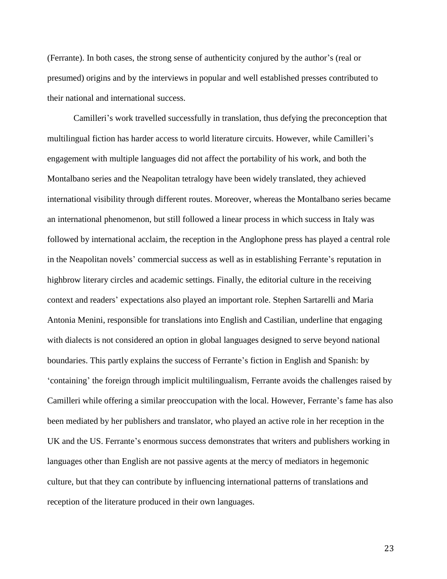(Ferrante). In both cases, the strong sense of authenticity conjured by the author's (real or presumed) origins and by the interviews in popular and well established presses contributed to their national and international success.

Camilleri's work travelled successfully in translation, thus defying the preconception that multilingual fiction has harder access to world literature circuits. However, while Camilleri's engagement with multiple languages did not affect the portability of his work, and both the Montalbano series and the Neapolitan tetralogy have been widely translated, they achieved international visibility through different routes. Moreover, whereas the Montalbano series became an international phenomenon, but still followed a linear process in which success in Italy was followed by international acclaim, the reception in the Anglophone press has played a central role in the Neapolitan novels' commercial success as well as in establishing Ferrante's reputation in highbrow literary circles and academic settings. Finally, the editorial culture in the receiving context and readers' expectations also played an important role. Stephen Sartarelli and Maria Antonia Menini, responsible for translations into English and Castilian, underline that engaging with dialects is not considered an option in global languages designed to serve beyond national boundaries. This partly explains the success of Ferrante's fiction in English and Spanish: by 'containing' the foreign through implicit multilingualism, Ferrante avoids the challenges raised by Camilleri while offering a similar preoccupation with the local. However, Ferrante's fame has also been mediated by her publishers and translator, who played an active role in her reception in the UK and the US. Ferrante's enormous success demonstrates that writers and publishers working in languages other than English are not passive agents at the mercy of mediators in hegemonic culture, but that they can contribute by influencing international patterns of translations and reception of the literature produced in their own languages.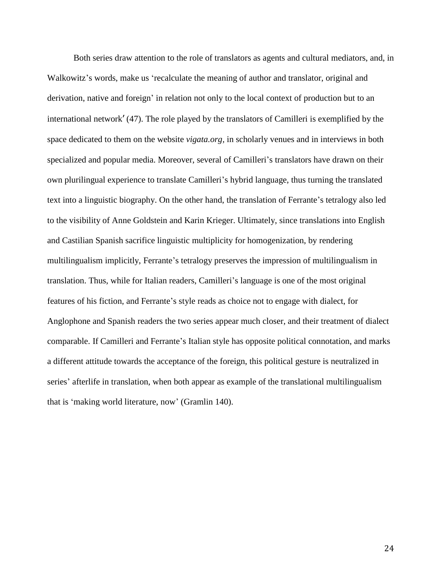Both series draw attention to the role of translators as agents and cultural mediators, and, in Walkowitz's words, make us 'recalculate the meaning of author and translator, original and derivation, native and foreign' in relation not only to the local context of production but to an international network' (47). The role played by the translators of Camilleri is exemplified by the space dedicated to them on the website *vigata.org,* in scholarly venues and in interviews in both specialized and popular media. Moreover, several of Camilleri's translators have drawn on their own plurilingual experience to translate Camilleri's hybrid language, thus turning the translated text into a linguistic biography. On the other hand, the translation of Ferrante's tetralogy also led to the visibility of Anne Goldstein and Karin Krieger. Ultimately, since translations into English and Castilian Spanish sacrifice linguistic multiplicity for homogenization, by rendering multilingualism implicitly, Ferrante's tetralogy preserves the impression of multilingualism in translation. Thus, while for Italian readers, Camilleri's language is one of the most original features of his fiction, and Ferrante's style reads as choice not to engage with dialect, for Anglophone and Spanish readers the two series appear much closer, and their treatment of dialect comparable. If Camilleri and Ferrante's Italian style has opposite political connotation, and marks a different attitude towards the acceptance of the foreign, this political gesture is neutralized in series' afterlife in translation, when both appear as example of the translational multilingualism that is 'making world literature, now' (Gramlin 140).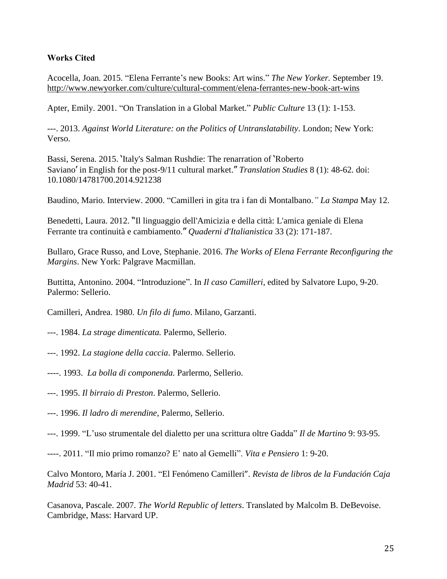# **Works Cited**

Acocella, Joan. 2015. "Elena Ferrante's new Books: Art wins." *The New Yorker.* September 19. <http://www.newyorker.com/culture/cultural-comment/elena-ferrantes-new-book-art-wins>

Apter, Emily. 2001. "On Translation in a Global Market." *Public Culture* 13 (1): 1-153.

---. 2013. *Against World Literature: on the Politics of Untranslatability*. London; New York: Verso.

Bassi, Serena. 2015. 'Italy's Salman Rushdie: The renarration of 'Roberto Saviano' in English for the post-9/11 cultural market." *Translation Studies* 8 (1): 48-62. doi: 10.1080/14781700.2014.921238

Baudino, Mario. Interview. 2000. "Camilleri in gita tra i fan di Montalbano.*" La Stampa* May 12.

Benedetti, Laura. 2012. "Il linguaggio dell'Amicizia e della città: L'amica geniale di Elena Ferrante tra continuità e cambiamento." *Quaderni d'Italianistica* 33 (2): 171-187.

Bullaro, Grace Russo, and Love, Stephanie. 2016. *The Works of Elena Ferrante Reconfiguring the Margins*. New York: Palgrave Macmillan.

Buttitta, Antonino. 2004. "Introduzione". In *Il caso Camilleri*, edited by Salvatore Lupo, 9-20. Palermo: Sellerio.

Camilleri, Andrea. 1980. *Un filo di fumo*. Milano, Garzanti.

---. 1984. *La strage dimenticata.* Palermo, Sellerio.

- ---. 1992. *La stagione della caccia*. Palermo. Sellerio.
- ----. 1993. *La bolla di componenda.* Parlermo, Sellerio.
- ---. 1995. *Il birraio di Preston*. Palermo, Sellerio.
- ---. 1996. *Il ladro di merendine*, Palermo, Sellerio.
- ---. 1999. "L'uso strumentale del dialetto per una scrittura oltre Gadda" *Il de Martino* 9: 93-95.
- ----. 2011. "Il mio primo romanzo? E' nato al Gemelli". *Vita e Pensiero* 1: 9-20.

Calvo Montoro, María J. 2001. "El Fenómeno Camilleri". *Revista de libros de la Fundación Caja Madrid* 53: 40-41.

Casanova, Pascale. 2007. *The World Republic of letters*. Translated by Malcolm B. DeBevoise. Cambridge, Mass: Harvard UP.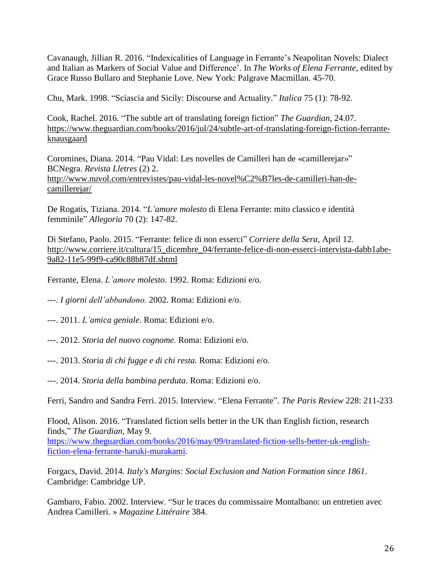Cavanaugh, Jillian R. 2016. "Indexicalities of Language in Ferrante's Neapolitan Novels: Dialect and Italian as Markers of Social Value and Difference'. In *The Works of Elena Ferrante*, edited by Grace Russo Bullaro and Stephanie Love. New York: Palgrave Macmillan. 45-70.

Chu, Mark. 1998. "Sciascia and Sicily: Discourse and Actuality." *Italica* 75 (1): 78-92.

Cook, Rachel. 2016. "The subtle art of translating foreign fiction" *The Guardian*, 24.07. [https://www.theguardian.com/books/2016/jul/24/subtle-art-of-translating-foreign-fiction-ferrante](https://www.theguardian.com/books/2016/jul/24/subtle-art-of-translating-foreign-fiction-ferrante-knausgaard)[knausgaard](https://www.theguardian.com/books/2016/jul/24/subtle-art-of-translating-foreign-fiction-ferrante-knausgaard)

Coromines, Diana. 2014. "Pau Vidal: Les novelles de Camilleri han de «camillerejar»" BCNegra. *Revista Lletres* (2) 2. [http://www.nuvol.com/entrevistes/pau-vidal-les-novel%C2%B7les-de-camilleri-han-de](http://www.nuvol.com/entrevistes/pau-vidal-les-novel%C2%B7les-de-camilleri-han-de-camillerejar/)[camillerejar/](http://www.nuvol.com/entrevistes/pau-vidal-les-novel%C2%B7les-de-camilleri-han-de-camillerejar/)

De Rogatis, Tiziana. 2014. "*L'amore molesto* di Elena Ferrante: mito classico e identità femminile" *Allegoria* 70 (2): 147-82.

Di Stefano, Paolo. 2015. "Ferrante: felice di non esserci" *Corriere della Sera,* April 12. [http://www.corriere.it/cultura/15\\_dicembre\\_04/ferrante-felice-di-non-esserci-intervista-dabb1abe-](http://www.corriere.it/cultura/15_dicembre_04/ferrante-felice-di-non-esserci-intervista-dabb1abe-9a82-11e5-99f9-ca90c88b87df.shtml)[9a82-11e5-99f9-ca90c88b87df.shtml](http://www.corriere.it/cultura/15_dicembre_04/ferrante-felice-di-non-esserci-intervista-dabb1abe-9a82-11e5-99f9-ca90c88b87df.shtml)

Ferrante, Elena. *L'amore molesto*. 1992. Roma: Edizioni e/o.

---. *I giorni dell'abbandono.* 2002. Roma: Edizioni e/o.

---. 2011. *L'amica geniale*. Roma: Edizioni e/o.

- ---. 2012. *Storia del nuovo cognome.* Roma: Edizioni e/o.
- ---. 2013. *Storia di chi fugge e di chi resta.* Roma: Edizioni e/o.

---. 2014. *Storia della bambina perduta*. Roma: Edizioni e/o.

Ferri, Sandro and Sandra Ferri. 2015. Interview. "Elena Ferrante". *The Paris Review* 228: 211-233

Flood, Alison. 2016. "Translated fiction sells better in the UK than English fiction, research finds," *The Guardian,* May 9. [https://www.theguardian.com/books/2016/may/09/translated-fiction-sells-better-uk-english](https://www.theguardian.com/books/2016/may/09/translated-fiction-sells-better-uk-english-fiction-elena-ferrante-haruki-murakami)[fiction-elena-ferrante-haruki-murakami.](https://www.theguardian.com/books/2016/may/09/translated-fiction-sells-better-uk-english-fiction-elena-ferrante-haruki-murakami)

Forgacs, David. 2014. *Italy's Margins: Social Exclusion and Nation Formation since 1861*. Cambridge: Cambridge UP.

Gambaro, Fabio. 2002. Interview. "Sur le traces du commissaire Montalbano: un entretien avec Andrea Camilleri. » *Magazine Littéraire* 384.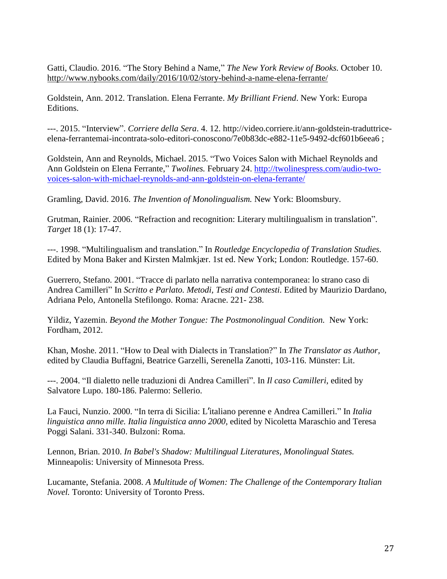Gatti, Claudio. 2016. "The Story Behind a Name," *The New York Review of Books.* October 10. <http://www.nybooks.com/daily/2016/10/02/story-behind-a-name-elena-ferrante/>

Goldstein, Ann. 2012. Translation. Elena Ferrante. *My Brilliant Friend*. New York: Europa Editions.

---. 2015. "Interview". *Corriere della Sera*. 4. 12. http://video.corriere.it/ann-goldstein-traduttriceelena-ferrantemai-incontrata-solo-editori-conoscono/7e0b83dc-e882-11e5-9492-dcf601b6eea6 ;

Goldstein, Ann and Reynolds, Michael. 2015. "Two Voices Salon with Michael Reynolds and Ann Goldstein on Elena Ferrante," *Twolines.* February 24. [http://twolinespress.com/audio-two](http://twolinespress.com/audio-two-voices-salon-with-michael-reynolds-and-ann-goldstein-on-elena-ferrante/)[voices-salon-with-michael-reynolds-and-ann-goldstein-on-elena-ferrante/](http://twolinespress.com/audio-two-voices-salon-with-michael-reynolds-and-ann-goldstein-on-elena-ferrante/)

Gramling, David. 2016. *The Invention of Monolingualism.* New York: Bloomsbury.

Grutman, Rainier. 2006. "Refraction and recognition: Literary multilingualism in translation". *Target* 18 (1): 17-47.

---. 1998. "Multilingualism and translation." In *Routledge Encyclopedia of Translation Studies.* Edited by Mona Baker and Kirsten Malmkjær. 1st ed. New York; London: Routledge. 157-60.

Guerrero, Stefano. 2001. "Tracce di parlato nella narrativa contemporanea: lo strano caso di Andrea Camilleri" In *Scritto e Parlato. Metodi, Testi and Contesti.* Edited by Maurizio Dardano, Adriana Pelo, Antonella Stefilongo. Roma: Aracne. 221- 238.

Yildiz, Yazemin. *Beyond the Mother Tongue: The Postmonolingual Condition.* New York: Fordham, 2012.

Khan, Moshe. 2011. "How to Deal with Dialects in Translation?" In *The Translator as Author,* edited by Claudia Buffagni, Beatrice Garzelli, Serenella Zanotti, 103-116. Münster: Lit.

---. 2004. "Il dialetto nelle traduzioni di Andrea Camilleri". In *Il caso Camilleri*, edited by Salvatore Lupo. 180-186. Palermo: Sellerio.

La Fauci, Nunzio. 2000. "In terra di Sicilia: L'italiano perenne e Andrea Camilleri." In *Italia linguistica anno mille. Italia linguistica anno 2000,* edited by Nicoletta Maraschio and Teresa Poggi Salani. 331-340. Bulzoni: Roma.

Lennon, Brian. 2010. *In Babel's Shadow: Multilingual Literatures, Monolingual States.* Minneapolis: University of Minnesota Press.

Lucamante, Stefania. 2008. *A Multitude of Women: The Challenge of the Contemporary Italian Novel.* Toronto: University of Toronto Press.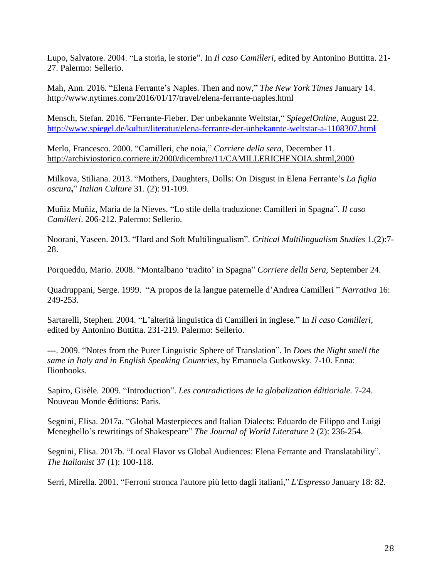Lupo, Salvatore. 2004. "La storia, le storie". In *Il caso Camilleri,* edited by Antonino Buttitta. 21- 27. Palermo: Sellerio.

Mah, Ann. 2016. "Elena Ferrante's Naples. Then and now," *The New York Times* January 14. <http://www.nytimes.com/2016/01/17/travel/elena-ferrante-naples.html>

Mensch, Stefan. 2016. "Ferrante-Fieber. Der unbekannte Weltstar," *SpiegelOnline*, August 22. <http://www.spiegel.de/kultur/literatur/elena-ferrante-der-unbekannte-weltstar-a-1108307.html>

Merlo, Francesco. 2000. "Camilleri, che noia," *Corriere della sera,* December 11. <http://archiviostorico.corriere.it/2000/dicembre/11/CAMILLERICHENOIA.shtml,2000>

Milkova, Stiliana. 2013. "Mothers, Daughters, Dolls: On Disgust in Elena Ferrante's *La figlia oscura***,**" *Italian Culture* 31. (2): 91-109.

Muñiz Muñiz, Maria de la Nieves. "Lo stile della traduzione: Camilleri in Spagna". *Il caso Camilleri*. 206-212. Palermo: Sellerio.

Noorani, Yaseen. 2013. "Hard and Soft Multilingualism". *Critical Multilingualism Studies* 1.(2):7- 28.

Porqueddu, Mario. 2008. "Montalbano 'tradito' in Spagna" *Corriere della Sera,* September 24.

Quadruppani, Serge. 1999. "A propos de la langue paternelle d'Andrea Camilleri " *Narrativa* 16: 249-253.

Sartarelli, Stephen. 2004. "L'alterità linguistica di Camilleri in inglese." In *Il caso Camilleri,* edited by Antonino Buttitta. 231-219. Palermo: Sellerio.

---. 2009. "Notes from the Purer Linguistic Sphere of Translation". In *Does the Night smell the same in Italy and in English Speaking Countries,* by Emanuela Gutkowsky. 7-10. Enna: Ilionbooks.

Sapiro, Gisèle. 2009. "Introduction". *Les contradictions de la globalization éditioriale.* 7-24. Nouveau Monde éditions: Paris.

Segnini, Elisa. 2017a. "Global Masterpieces and Italian Dialects: Eduardo de Filippo and Luigi Meneghello's rewritings of Shakespeare" *The Journal of World Literature* 2 (2): 236-254.

Segnini, Elisa. 2017b. "Local Flavor vs Global Audiences: Elena Ferrante and Translatability". *The Italianist* 37 (1): 100-118.

Serri, Mirella. 2001. "Ferroni stronca l'autore più letto dagli italiani," *L'Espresso* January 18: 82.